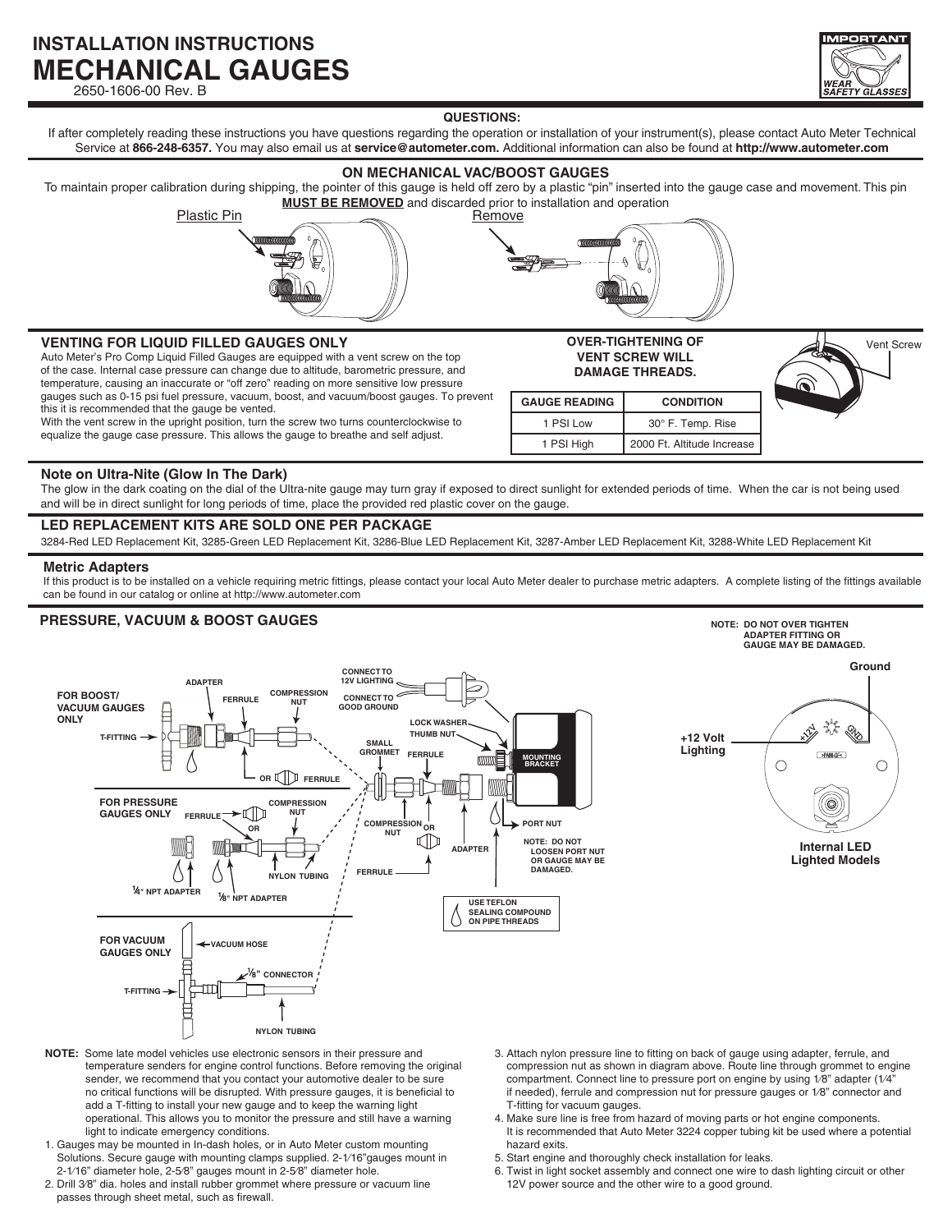# **INSTALLATION INSTRUCTIONS MECHANICAL GAUGES**

2650-1606-00 Rev. B



#### **QUESTIONS:**

If after completely reading these instructions you have questions regarding the operation or installation of your instrument(s), please contact Auto Meter Technical Service at **866-248-6357.** You may also email us at **service@autometer.com.** Additional information can also be found at **http://www.autometer.com**

## **ON MECHANICAL VAC/BOOST GAUGES**

To maintain proper calibration during shipping, the pointer of this gauge is held off zero by a plastic "pin" inserted into the gauge case and movement. This pin **MUST BE REMOVED** and discarded prior to installation and operation

Plastic Pin Remove



**OVER-TIGHTENING OF VENT SCREW WILL DAMAGE THREADS.**

**GAUGE READING CONDITION** 1 PSI Low | 30° F. Temp. Rise 1 PSI High 2000 Ft. Altitude Increase

# **VENTING FOR LIQUID FILLED GAUGES ONLY External Structure of the Control of the Vent Screw** Vent Screw

Auto Meter's Pro Comp Liquid Filled Gauges are equipped with a vent screw on the top of the case. Internal case pressure can change due to altitude, barometric pressure, and temperature, causing an inaccurate or "off zero" reading on more sensitive low pressure gauges such as 0-15 psi fuel pressure, vacuum, boost, and vacuum/boost gauges. To prevent this it is recommended that the gauge be vented.

With the vent screw in the upright position, turn the screw two turns counterclockwise to equalize the gauge case pressure. This allows the gauge to breathe and self adjust.

### **Note on Ultra-Nite (Glow In The Dark)**

The glow in the dark coating on the dial of the Ultra-nite gauge may turn gray if exposed to direct sunlight for extended periods of time. When the car is not being used and will be in direct sunlight for long periods of time, place the provided red plastic cover on the gauge.

## **LED REPLACEMENT KITS ARE SOLD ONE PER PACKAGE**

3284-Red LED Replacement Kit, 3285-Green LED Replacement Kit, 3286-Blue LED Replacement Kit, 3287-Amber LED Replacement Kit, 3288-White LED Replacement Kit

#### **Metric Adapters**

If this product is to be installed on a vehicle requiring metric fittings, please contact your local Auto Meter dealer to purchase metric adapters. A complete listing of the fittings available can be found in our catalog or online at http://www.autometer.com

## **PRESSURE, VACUUM & BOOST GAUGES Note:** DO NOTE: DO NOT OVER TIGHTEN



- **NOTE:** Some late model vehicles use electronic sensors in their pressure and temperature senders for engine control functions. Before removing the original sender, we recommend that you contact your automotive dealer to be sure no critical functions will be disrupted. With pressure gauges, it is beneficial to add a T-fitting to install your new gauge and to keep the warning light operational. This allows you to monitor the pressure and still have a warning light to indicate emergency conditions.
- 1. Gauges may be mounted in In-dash holes, or in Auto Meter custom mounting Solutions. Secure gauge with mounting clamps supplied. 2-1⁄16"gauges mount in 2-1⁄16" diameter hole, 2-5⁄8" gauges mount in 2-5⁄8" diameter hole.
- 2. Drill 3⁄8" dia. holes and install rubber grommet where pressure or vacuum line passes through sheet metal, such as firewall.
- 3. Attach nylon pressure line to fitting on back of gauge using adapter, ferrule, and compression nut as shown in diagram above. Route line through grommet to engine compartment. Connect line to pressure port on engine by using 1/8" adapter (1/4" if needed), ferrule and compression nut for pressure gauges or 1⁄8" connector and T-fitting for vacuum gauges.
- 4. Make sure line is free from hazard of moving parts or hot engine components. It is recommended that Auto Meter 3224 copper tubing kit be used where a potential hazard exits.
- 5. Start engine and thoroughly check installation for leaks.
- 6. Twist in light socket assembly and connect one wire to dash lighting circuit or other 12V power source and the other wire to a good ground.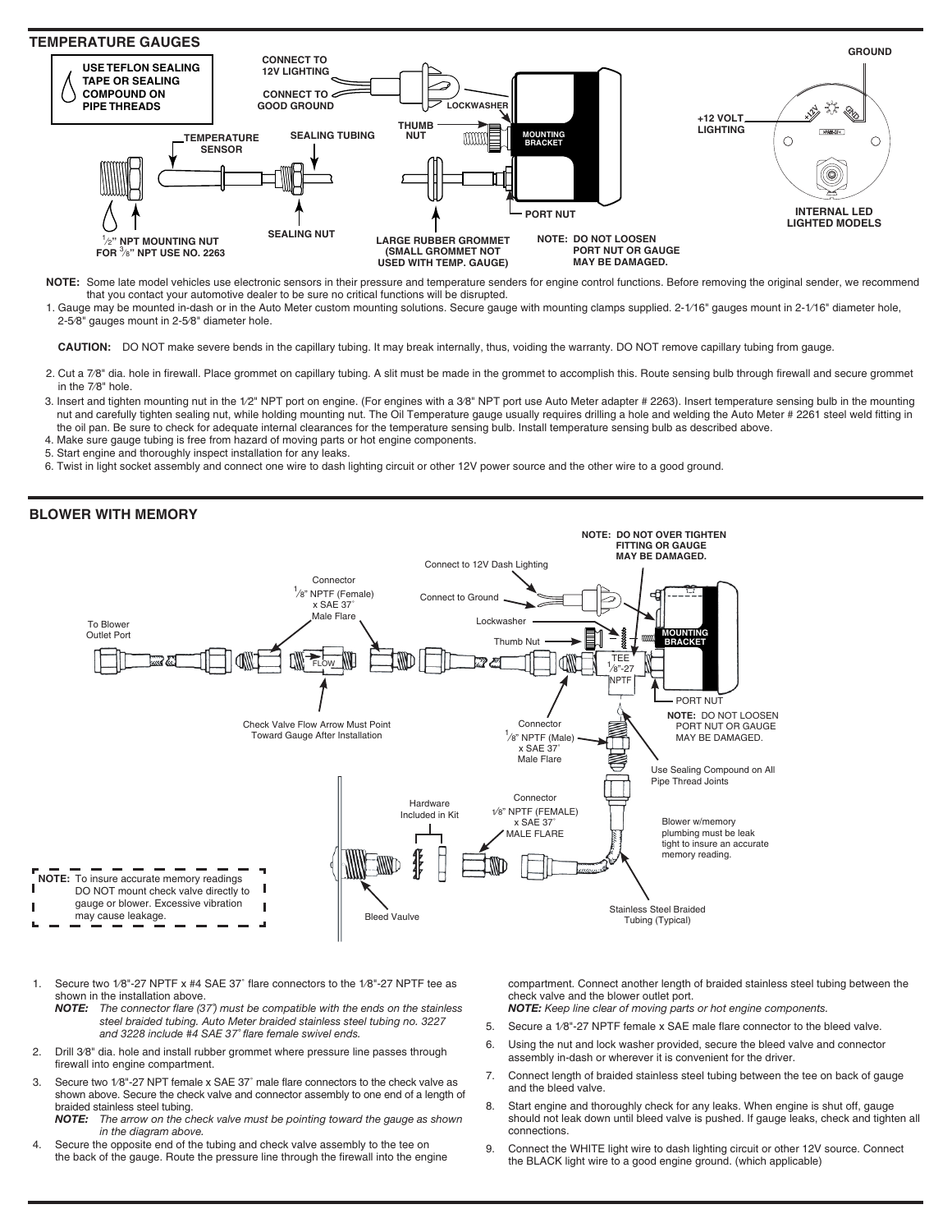

**NOTE:** Some late model vehicles use electronic sensors in their pressure and temperature senders for engine control functions. Before removing the original sender, we recommend that you contact your automotive dealer to be sure no critical functions will be disrupted.

1. Gauge may be mounted in-dash or in the Auto Meter custom mounting solutions. Secure gauge with mounting clamps supplied. 2-1⁄16" gauges mount in 2-1⁄16" diameter hole, 2-5⁄8" gauges mount in 2-5⁄8" diameter hole.

**CAUTION:** DO NOT make severe bends in the capillary tubing. It may break internally, thus, voiding the warranty. DO NOT remove capillary tubing from gauge.

- 2. Cut a 7⁄8" dia. hole in firewall. Place grommet on capillary tubing. A slit must be made in the grommet to accomplish this. Route sensing bulb through firewall and secure grommet in the 7⁄8" hole.
- 3. Insert and tighten mounting nut in the 1/2" NPT port on engine. (For engines with a 3/8" NPT port use Auto Meter adapter # 2263). Insert temperature sensing bulb in the mounting nut and carefully tighten sealing nut, while holding mounting nut. The Oil Temperature gauge usually requires drilling a hole and welding the Auto Meter # 2261 steel weld fitting in the oil pan. Be sure to check for adequate internal clearances for the temperature sensing bulb. Install temperature sensing bulb as described above.
- 4. Make sure gauge tubing is free from hazard of moving parts or hot engine components.
- 5. Start engine and thoroughly inspect installation for any leaks.
- 6. Twist in light socket assembly and connect one wire to dash lighting circuit or other 12V power source and the other wire to a good ground.



- Secure two 1/8"-27 NPTF x #4 SAE 37° flare connectors to the 1/8"-27 NPTF tee as shown in the installation above.<br>**NOTE:** The connector flare (3)
	- *NOTE: The connector flare (37˚) must be compatible with the ends on the stainless steel braided tubing. Auto Meter braided stainless steel tubing no. 3227 and 3228 include #4 SAE 37˚ flare female swivel ends.*
- 2. Drill 3⁄8" dia. hole and install rubber grommet where pressure line passes through firewall into engine compartment.
- 3. Secure two 1⁄8"-27 NPT female x SAE 37˚ male flare connectors to the check valve as shown above. Secure the check valve and connector assembly to one end of a length of braided stainless steel tubing.<br>**NOTE:** The arrow on the cl
- *NOTE: The arrow on the check valve must be pointing toward the gauge as shown in the diagram above.*
- 4. Secure the opposite end of the tubing and check valve assembly to the tee on the back of the gauge. Route the pressure line through the firewall into the engine

compartment. Connect another length of braided stainless steel tubing between the check valve and the blower outlet port. *NOTE: Keep line clear of moving parts or hot engine components.*

- 5. Secure a 1⁄8"-27 NPTF female x SAE male flare connector to the bleed valve.
- 6. Using the nut and lock washer provided, secure the bleed valve and connector assembly in-dash or wherever it is convenient for the driver.
- 7. Connect length of braided stainless steel tubing between the tee on back of gauge and the bleed valve.
- 8. Start engine and thoroughly check for any leaks. When engine is shut off, gauge should not leak down until bleed valve is pushed. If gauge leaks, check and tighten all connections.
- 9. Connect the WHITE light wire to dash lighting circuit or other 12V source. Connect the BLACK light wire to a good engine ground. (which applicable)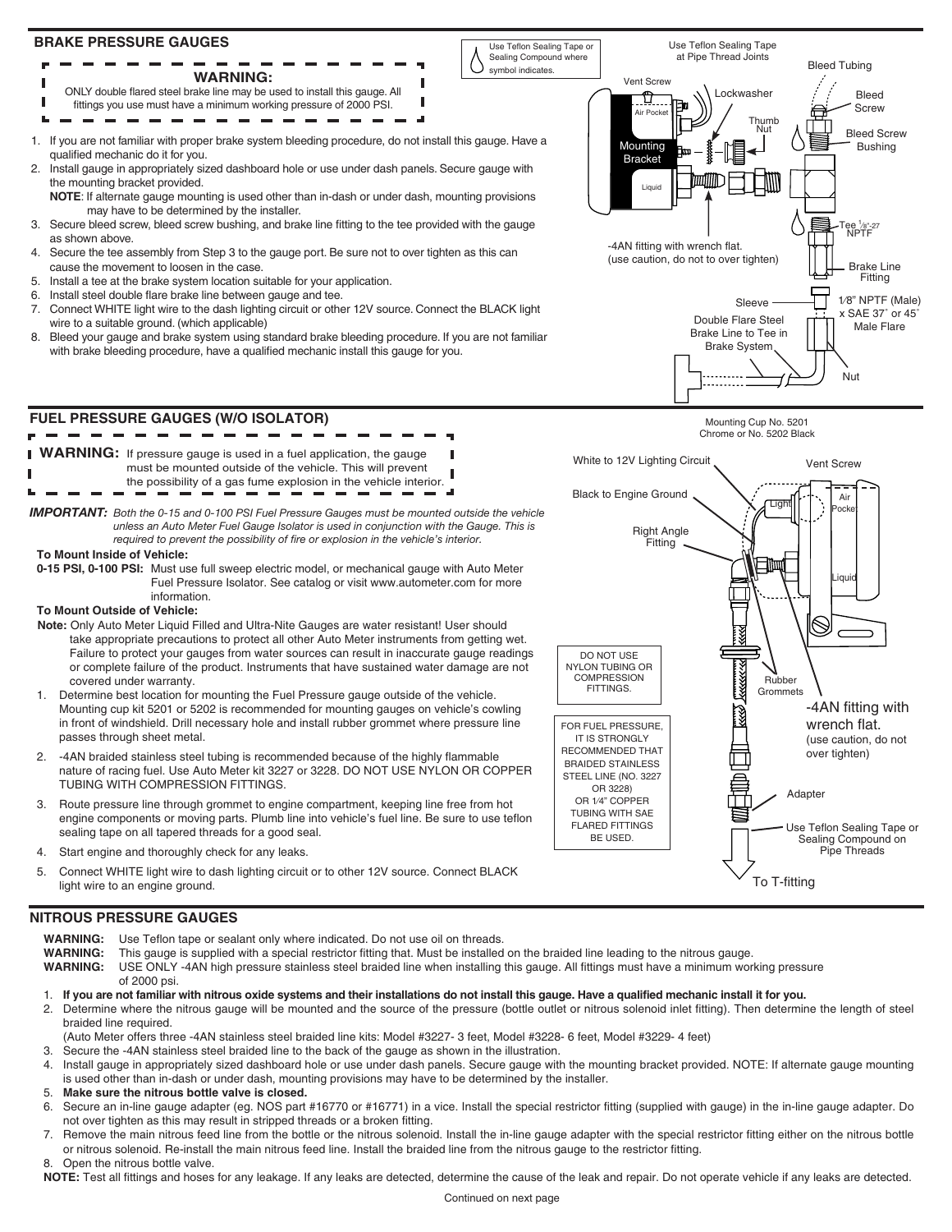

# **NITROUS PRESSURE GAUGES**

- WARNING: Use Teflon tape or sealant only where indicated. Do not use oil on threads.<br>WARNING: This gauge is supplied with a special restrictor fitting that. Must be installed **WARNING:** This gauge is supplied with a special restrictor fitting that. Must be installed on the braided line leading to the nitrous gauge. **WARNING:** USE ONLY -4AN high pressure stainless steel braided line when installing this gauge. All fittings must have a minimum working pressure of 2000 psi. 1. **If you are not familiar with nitrous oxide systems and their installations do not install this gauge. Have a qualified mechanic install it for you.** 2. Determine where the nitrous gauge will be mounted and the source of the pressure (bottle outlet or nitrous solenoid inlet fitting). Then determine the length of steel braided line required. (Auto Meter offers three -4AN stainless steel braided line kits: Model #3227- 3 feet, Model #3228- 6 feet, Model #3229- 4 feet)
- 3. Secure the -4AN stainless steel braided line to the back of the gauge as shown in the illustration.
- 4. Install gauge in appropriately sized dashboard hole or use under dash panels. Secure gauge with the mounting bracket provided. NOTE: If alternate gauge mounting is used other than in-dash or under dash, mounting provisions may have to be determined by the installer.
- 5. **Make sure the nitrous bottle valve is closed.**
- 6. Secure an in-line gauge adapter (eg. NOS part #16770 or #16771) in a vice. Install the special restrictor fitting (supplied with gauge) in the in-line gauge adapter. Do not over tighten as this may result in stripped threads or a broken fitting.
- 7. Remove the main nitrous feed line from the bottle or the nitrous solenoid. Install the in-line gauge adapter with the special restrictor fitting either on the nitrous bottle or nitrous solenoid. Re-install the main nitrous feed line. Install the braided line from the nitrous gauge to the restrictor fitting. 8. Open the nitrous bottle valve.

**NOTE:** Test all fittings and hoses for any leakage. If any leaks are detected, determine the cause of the leak and repair. Do not operate vehicle if any leaks are detected.